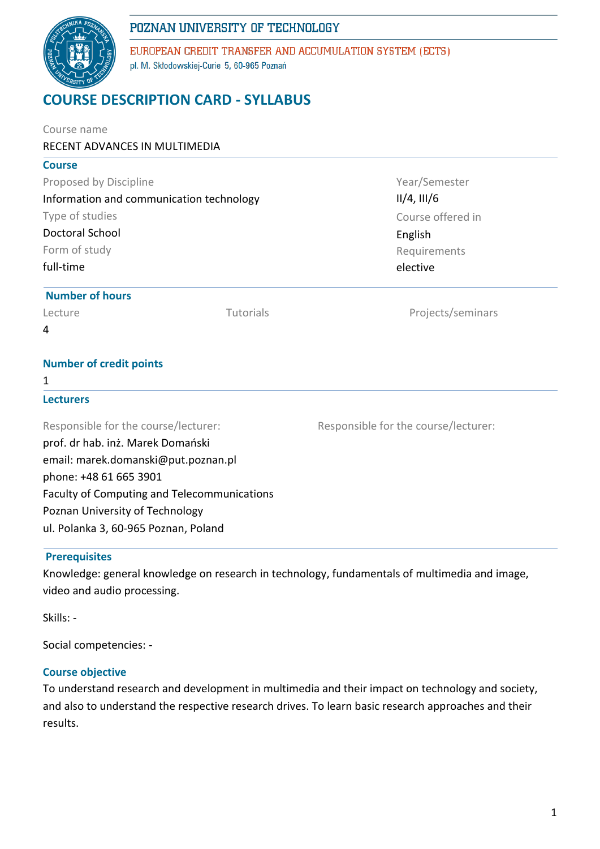# POZNAN UNIVERSITY OF TECHNOLOGY



EUROPEAN CREDIT TRANSFER AND ACCUMULATION SYSTEM (ECTS) pl. M. Skłodowskiej-Curie 5, 60-965 Poznań

# **COURSE DESCRIPTION CARD - SYLLABUS**

| Course name                                        |           |                                      |  |  |  |
|----------------------------------------------------|-----------|--------------------------------------|--|--|--|
| RECENT ADVANCES IN MULTIMEDIA                      |           |                                      |  |  |  |
| <b>Course</b>                                      |           |                                      |  |  |  |
| Proposed by Discipline                             |           | Year/Semester                        |  |  |  |
| Information and communication technology           |           | $II/4$ , $III/6$                     |  |  |  |
| Type of studies                                    |           | Course offered in                    |  |  |  |
| <b>Doctoral School</b>                             |           | English                              |  |  |  |
| Form of study                                      |           | Requirements                         |  |  |  |
| full-time                                          |           | elective                             |  |  |  |
| <b>Number of hours</b>                             |           |                                      |  |  |  |
| Lecture                                            | Tutorials | Projects/seminars                    |  |  |  |
| 4                                                  |           |                                      |  |  |  |
| <b>Number of credit points</b>                     |           |                                      |  |  |  |
| 1                                                  |           |                                      |  |  |  |
| <b>Lecturers</b>                                   |           |                                      |  |  |  |
| Responsible for the course/lecturer:               |           | Responsible for the course/lecturer: |  |  |  |
| prof. dr hab. inż. Marek Domański                  |           |                                      |  |  |  |
| email: marek.domanski@put.poznan.pl                |           |                                      |  |  |  |
| phone: +48 61 665 3901                             |           |                                      |  |  |  |
| <b>Faculty of Computing and Telecommunications</b> |           |                                      |  |  |  |
| Poznan University of Technology                    |           |                                      |  |  |  |
| ul. Polanka 3, 60-965 Poznan, Poland               |           |                                      |  |  |  |
|                                                    |           |                                      |  |  |  |

# **Prerequisites**

Knowledge: general knowledge on research in technology, fundamentals of multimedia and image, video and audio processing.

Skills: -

Social competencies: -

## **Course objective**

To understand research and development in multimedia and their impact on technology and society, and also to understand the respective research drives. To learn basic research approaches and their results.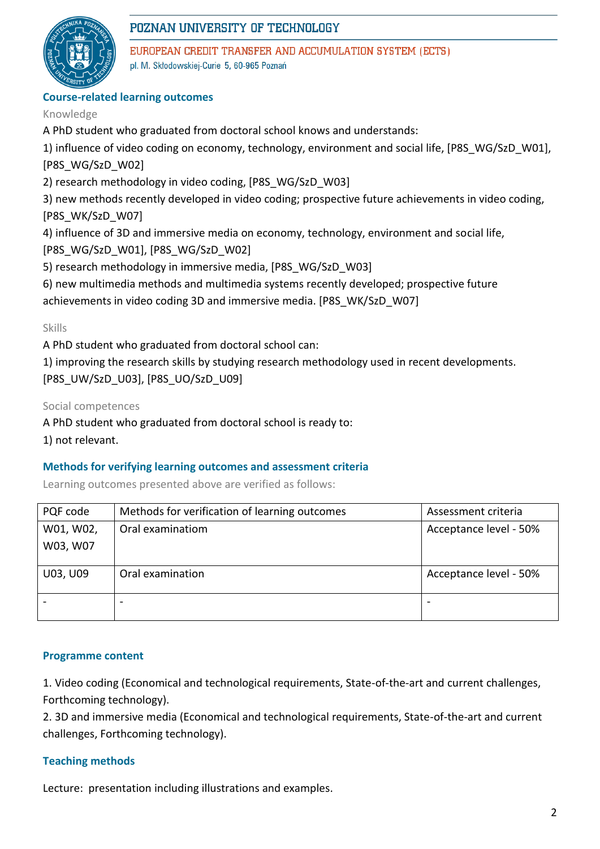

# POZNAN UNIVERSITY OF TECHNOLOGY

EUROPEAN CREDIT TRANSFER AND ACCUMULATION SYSTEM (ECTS) pl. M. Skłodowskiej-Curie 5, 60-965 Poznań

## **Course-related learning outcomes**

#### Knowledge

A PhD student who graduated from doctoral school knows and understands:

1) influence of video coding on economy, technology, environment and social life, [P8S\_WG/SzD\_W01], [P8S\_WG/SzD\_W02]

2) research methodology in video coding, [P8S\_WG/SzD\_W03]

3) new methods recently developed in video coding; prospective future achievements in video coding, [P8S\_WK/SzD\_W07]

4) influence of 3D and immersive media on economy, technology, environment and social life,

[P8S\_WG/SzD\_W01], [P8S\_WG/SzD\_W02]

5) research methodology in immersive media, [P8S\_WG/SzD\_W03]

6) new multimedia methods and multimedia systems recently developed; prospective future achievements in video coding 3D and immersive media. [P8S\_WK/SzD\_W07]

#### Skills

A PhD student who graduated from doctoral school can:

1) improving the research skills by studying research methodology used in recent developments. [P8S\_UW/SzD\_U03], [P8S\_UO/SzD\_U09]

Social competences

A PhD student who graduated from doctoral school is ready to:

1) not relevant.

#### **Methods for verifying learning outcomes and assessment criteria**

Learning outcomes presented above are verified as follows:

| PQF code  | Methods for verification of learning outcomes | Assessment criteria    |  |
|-----------|-----------------------------------------------|------------------------|--|
| W01, W02, | Oral examinatiom                              | Acceptance level - 50% |  |
| W03, W07  |                                               |                        |  |
|           |                                               |                        |  |
| U03, U09  | Oral examination                              | Acceptance level - 50% |  |
|           |                                               |                        |  |

#### **Programme content**

1. Video coding (Economical and technological requirements, State-of-the-art and current challenges, Forthcoming technology).

2. 3D and immersive media (Economical and technological requirements, State-of-the-art and current challenges, Forthcoming technology).

#### **Teaching methods**

Lecture: presentation including illustrations and examples.